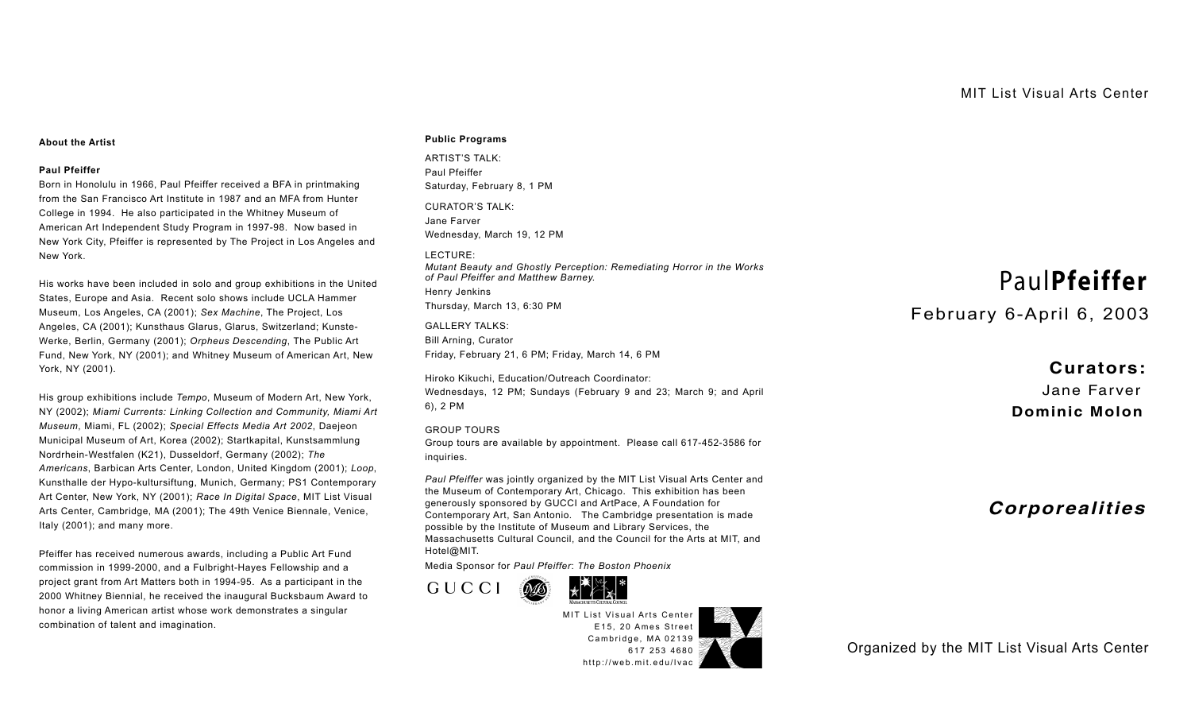## **About the Artist**

## **Paul Pfeiffer**

Born in Honolulu in 1966, Paul Pfeiffer received a BFA in printmaking from the San Francisco Art Institute in 1987 and an MFA from Hunter College in 1994. He also participated in the Whitney Museum of American Art Independent Study Program in 1997-98. Now based in New York City, Pfeiffer is represented by The Project in Los Angeles and New York.

His works have been included in solo and group exhibitions in the United States, Europe and Asia. Recent solo shows include UCLA Hammer Museum, Los Angeles, CA (2001); *Sex Machine*, The Project, Los Angeles, CA (2001); Kunsthaus Glarus, Glarus, Switzerland; Kunste-Werke, Berlin, Germany (2001); *Orpheus Descending*, The Public Art Fund, New York, NY (2001); and Whitney Museum of American Art, New York, NY (2001).

His group exhibitions include *Tempo*, Museum of Modern Art, New York, NY (2002); *Miami Currents: Linking Collection and Community, Miami Art Museum*, Miami, FL (2002); *Special Effects Media Art 2002*, Daejeon Municipal Museum of Art, Korea (2002); Startkapital, Kunstsammlung Nordrhein-Westfalen (K21), Dusseldorf, Germany (2002); *The Americans*, Barbican Arts Center, London, United Kingdom (2001); *Loop*, Kunsthalle der Hypo-kultursiftung, Munich, Germany; PS1 Contemporary Art Center, New York, NY (2001); *Race In Digital Space*, MIT List Visual Arts Center, Cambridge, MA (2001); The 49th Venice Biennale, Venice, Italy (2001); and many more.

Pfeiffer has received numerous awards, including a Public Art Fund commission in 1999-2000, and a Fulbright-Hayes Fellowship and a project grant from Art Matters both in 1994-95. As a participant in the 2000 Whitney Biennial, he received the inaugural Bucksbaum Award to honor a living American artist whose work demonstrates a singular combination of talent and imagination.

## **Public Programs**

ARTIST'S TALK: Paul Pfeiffer Saturday, February 8, 1 PM CURATOR'S TALK: Jane Farver Wednesday, March 19, 12 PM LECTURE: *Mutant Beauty and Ghostly Perception: Remediating Horror in the Works of Paul Pfeiffer and Matthew Barney.* Henry Jenkins Thursday, March 13, 6:30 PM

GALLERY TALKS: Bill Arning, Curator Friday, February 21, 6 PM; Friday, March 14, 6 PM

Hiroko Kikuchi, Education/Outreach Coordinator: Wednesdays, 12 PM; Sundays (February 9 and 23; March 9; and April 6), 2 PM

GROUP TOURS Group tours are available by appointment. Please call 617-452-3586 for inquiries.

*Paul Pfeiffer* was jointly organized by the MIT List Visual Arts Center and the Museum of Contemporary Art, Chicago. This exhibition has been generously sponsored by GUCCI and ArtPace, A Foundation for Contemporary Art, San Antonio. The Cambridge presentation is made possible by the Institute of Museum and Library Services, the Massachusetts Cultural Council, and the Council for the Arts at MIT, and Hotel@MIT.

Media Sponsor for *Paul Pfeiffer*: *The Boston Phoenix*





MIT List Visual Arts Center E15, 20 Ames Street Cambridge, MA 02139 617 253 4680 http://web.mit.edu/lvac



Paul**Pfeiffer**

February 6-April 6, 2003

 **Curators:** Jane Far ver **Dominic Molon**

**Corporealities**

Organized by the MIT List Visual Art[s Center](tel:6172534680)